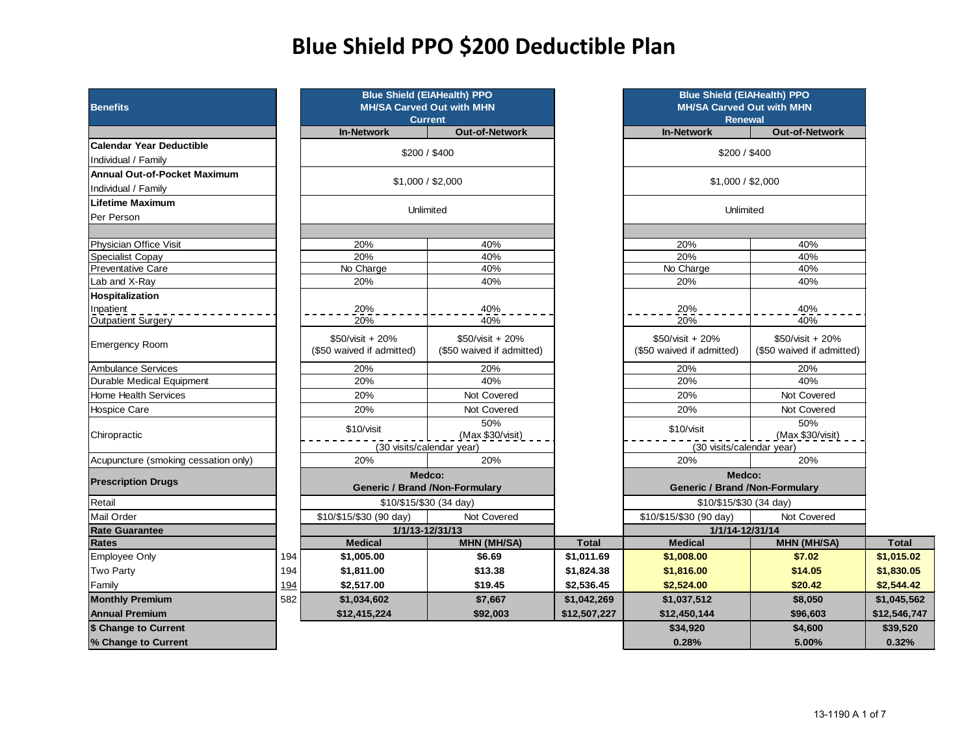# **Blue Shield PPO \$200 Deductible Plan**

| <b>Benefits</b>                        |     |                                               | <b>Blue Shield (EIAHealth) PPO</b><br><b>MH/SA Carved Out with MHN</b><br><b>Current</b> |              | <b>Blue Shield (EIAHealth) PPO</b><br><b>MH/SA Carved Out with MHN</b><br><b>Renewal</b> |                                               |              |
|----------------------------------------|-----|-----------------------------------------------|------------------------------------------------------------------------------------------|--------------|------------------------------------------------------------------------------------------|-----------------------------------------------|--------------|
|                                        |     | <b>In-Network</b>                             | <b>Out-of-Network</b>                                                                    |              | <b>In-Network</b>                                                                        | <b>Out-of-Network</b>                         |              |
| <b>Calendar Year Deductible</b>        |     |                                               |                                                                                          |              |                                                                                          |                                               |              |
| Individual / Family                    |     |                                               | \$200 / \$400                                                                            |              | \$200 / \$400                                                                            |                                               |              |
| <b>Annual Out-of-Pocket Maximum</b>    |     |                                               |                                                                                          |              |                                                                                          |                                               |              |
| Individual / Family                    |     |                                               | \$1,000 / \$2,000                                                                        |              | \$1,000 / \$2,000                                                                        |                                               |              |
| Lifetime Maximum                       |     |                                               |                                                                                          |              | Unlimited                                                                                |                                               |              |
| Per Person                             |     |                                               | Unlimited                                                                                |              |                                                                                          |                                               |              |
| Physician Office Visit                 |     | 20%                                           | 40%                                                                                      |              | 20%                                                                                      | 40%                                           |              |
| Specialist Copay                       |     | 20%                                           | 40%                                                                                      |              | 20%                                                                                      | 40%                                           |              |
| Preventative Care                      |     | No Charge                                     | 40%                                                                                      |              | No Charge                                                                                | 40%                                           |              |
| Lab and X-Ray                          |     | 20%                                           | 40%                                                                                      |              | 20%                                                                                      | 40%                                           |              |
| Hospitalization                        |     |                                               |                                                                                          |              |                                                                                          |                                               |              |
| Inpatient<br><b>Outpatient Surgery</b> |     | 20%<br>20%                                    | 40%<br>40%                                                                               |              | 20%<br>20%                                                                               | 40%<br>40%                                    |              |
| <b>Emergency Room</b>                  |     | \$50/visit + 20%<br>(\$50 waived if admitted) | \$50/visit + 20%<br>(\$50 waived if admitted)                                            |              | \$50/visit + 20%<br>(\$50 waived if admitted)                                            | \$50/visit + 20%<br>(\$50 waived if admitted) |              |
| <b>Ambulance Services</b>              |     | 20%                                           | 20%                                                                                      |              | 20%                                                                                      | 20%                                           |              |
| Durable Medical Equipment              |     | 20%                                           | 40%                                                                                      |              | 20%                                                                                      | 40%                                           |              |
| <b>Home Health Services</b>            |     | 20%                                           | Not Covered                                                                              |              | 20%                                                                                      | Not Covered                                   |              |
| <b>Hospice Care</b>                    |     | 20%                                           | Not Covered                                                                              |              | 20%                                                                                      | Not Covered                                   |              |
| Chiropractic                           |     | \$10/visit                                    | 50%<br>(Max \$30/visit)                                                                  |              | \$10/visit                                                                               | 50%<br>(Max \$30/visit)                       |              |
|                                        |     |                                               | (30 visits/calendar year)                                                                |              | (30 visits/calendar year)                                                                |                                               |              |
| Acupuncture (smoking cessation only)   |     | 20%                                           | 20%                                                                                      |              | 20%                                                                                      | 20%                                           |              |
| <b>Prescription Drugs</b>              |     |                                               | Medco:<br><b>Generic / Brand / Non-Formulary</b>                                         |              | Medco:<br><b>Generic / Brand / Non-Formulary</b>                                         |                                               |              |
| Retail                                 |     |                                               | \$10/\$15/\$30 (34 day)                                                                  |              | \$10/\$15/\$30 (34 day)                                                                  |                                               |              |
| <b>Mail Order</b>                      |     | \$10/\$15/\$30 (90 day)                       | Not Covered                                                                              |              | \$10/\$15/\$30 (90 day)                                                                  | Not Covered                                   |              |
| <b>Rate Guarantee</b>                  |     |                                               | 1/1/13-12/31/13                                                                          |              | 1/1/14-12/31/14                                                                          |                                               |              |
| <b>Rates</b>                           |     | <b>Medical</b>                                | <b>MHN (MH/SA)</b>                                                                       | <b>Total</b> | <b>Medical</b>                                                                           | <b>MHN (MH/SA)</b>                            | <b>Total</b> |
| <b>Employee Only</b>                   | 194 | \$1,005.00                                    | \$6.69                                                                                   | \$1,011.69   | \$1,008.00                                                                               | \$7.02                                        | \$1,015.02   |
| <b>Two Party</b>                       | 194 | \$1,811.00                                    | \$13.38                                                                                  | \$1,824.38   | \$1,816.00                                                                               | \$14.05                                       | \$1,830.05   |
| Family                                 | 194 | \$2,517.00                                    | \$19.45                                                                                  | \$2,536.45   | \$2,524.00                                                                               | \$20.42                                       | \$2,544.42   |
| <b>Monthly Premium</b>                 | 582 | \$1,034,602                                   | \$7,667                                                                                  | \$1,042,269  | \$1,037,512                                                                              | \$8,050                                       | \$1,045,562  |
| <b>Annual Premium</b>                  |     | \$12,415,224                                  | \$92,003                                                                                 | \$12,507,227 | \$12,450,144                                                                             | \$96,603                                      | \$12,546,747 |
| \$ Change to Current                   |     |                                               |                                                                                          |              | \$34,920                                                                                 | \$4,600                                       | \$39,520     |
| % Change to Current                    |     |                                               |                                                                                          |              | 0.28%                                                                                    | 5.00%                                         | 0.32%        |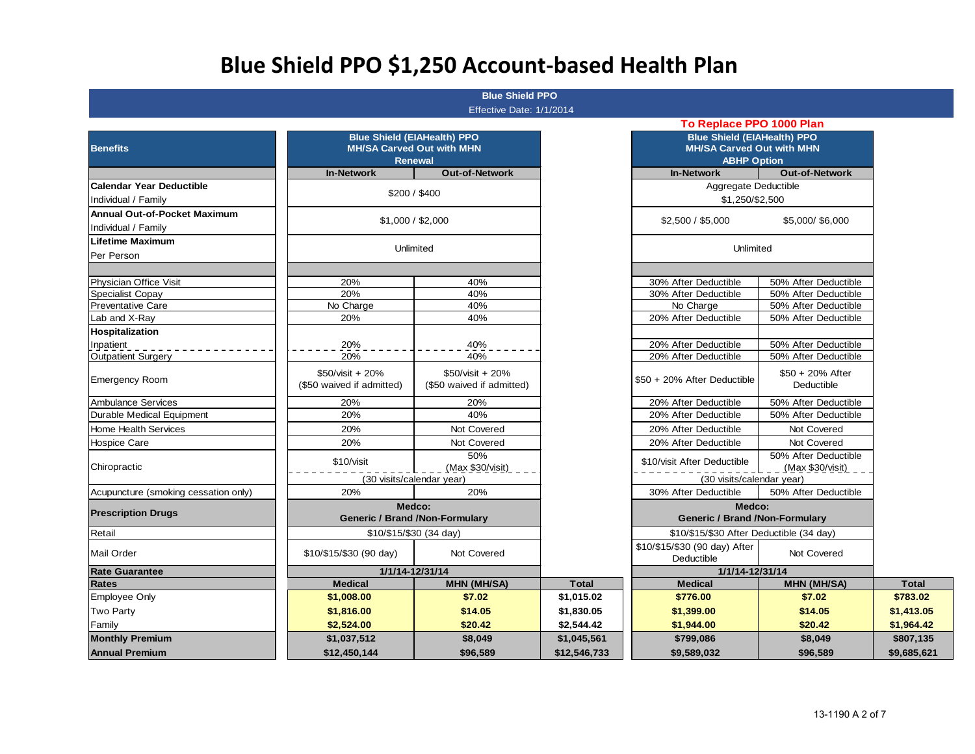# **Blue Shield PPO \$1,250 Account-based Health Plan**

#### **Blue Shield PPO**  Effective Date: 1/1/2014

| $150195$ Date. $1112017$ |  |  |
|--------------------------|--|--|
|                          |  |  |

| <b>Benefits</b>                      |                                               | <b>Blue Shield (EIAHealth) PPO</b><br><b>MH/SA Carved Out with MHN</b><br><b>Renewal</b> |              | <b>Blue Shield (EIAHealth) PPO</b><br><b>MH/SA Carved Out with MHN</b><br><b>ABHP Option</b> |                                          |              |
|--------------------------------------|-----------------------------------------------|------------------------------------------------------------------------------------------|--------------|----------------------------------------------------------------------------------------------|------------------------------------------|--------------|
|                                      | <b>In-Network</b>                             | <b>Out-of-Network</b>                                                                    |              | <b>In-Network</b>                                                                            | <b>Out-of-Network</b>                    |              |
| <b>Calendar Year Deductible</b>      |                                               |                                                                                          |              | Aggregate Deductible                                                                         |                                          |              |
| Individual / Family                  |                                               | \$200 / \$400                                                                            |              | \$1,250/\$2,500                                                                              |                                          |              |
| <b>Annual Out-of-Pocket Maximum</b>  |                                               | \$1,000 / \$2,000                                                                        |              | \$2,500 / \$5,000                                                                            | \$5,000/\$6,000                          |              |
| Individual / Family                  |                                               |                                                                                          |              |                                                                                              |                                          |              |
| Lifetime Maximum                     |                                               | Unlimited                                                                                |              | Unlimited                                                                                    |                                          |              |
| Per Person                           |                                               |                                                                                          |              |                                                                                              |                                          |              |
| Physician Office Visit               | 20%                                           | 40%                                                                                      |              | 30% After Deductible                                                                         | 50% After Deductible                     |              |
| <b>Specialist Copay</b>              | 20%                                           | 40%                                                                                      |              | 30% After Deductible                                                                         | 50% After Deductible                     |              |
| <b>Preventative Care</b>             | No Charge                                     | 40%                                                                                      |              | No Charge                                                                                    | 50% After Deductible                     |              |
| Lab and X-Ray                        | 20%                                           | 40%                                                                                      |              | 20% After Deductible                                                                         | 50% After Deductible                     |              |
| <b>Hospitalization</b>               |                                               |                                                                                          |              |                                                                                              |                                          |              |
| Inpatient                            | 20%                                           | 40%                                                                                      |              | 20% After Deductible                                                                         | 50% After Deductible                     |              |
| <b>Outpatient Surgery</b>            | 20%                                           | 40%                                                                                      |              | 20% After Deductible                                                                         | 50% After Deductible                     |              |
| <b>Emergency Room</b>                | \$50/visit + 20%<br>(\$50 waived if admitted) | \$50/visit + 20%<br>(\$50 waived if admitted)                                            |              | \$50 + 20% After Deductible                                                                  | \$50 + 20% After<br>Deductible           |              |
| Ambulance Services                   | 20%                                           | 20%                                                                                      |              | 20% After Deductible                                                                         | 50% After Deductible                     |              |
| Durable Medical Equipment            | 20%                                           | 40%                                                                                      |              | 20% After Deductible                                                                         | 50% After Deductible                     |              |
| <b>Home Health Services</b>          | 20%                                           | Not Covered                                                                              |              | 20% After Deductible                                                                         | Not Covered                              |              |
| <b>Hospice Care</b>                  | 20%                                           | Not Covered                                                                              |              | 20% After Deductible                                                                         | Not Covered                              |              |
| Chiropractic                         | \$10/visit                                    | 50%<br>(Max \$30/visit)<br>(30 visits/calendar year)                                     |              | \$10/visit After Deductible<br>(30 visits/calendar year)                                     | 50% After Deductible<br>(Max \$30/visit) |              |
| Acupuncture (smoking cessation only) | 20%                                           | 20%                                                                                      |              | 30% After Deductible                                                                         | 50% After Deductible                     |              |
| <b>Prescription Drugs</b>            |                                               | Medco:<br><b>Generic / Brand / Non-Formulary</b>                                         |              | Medco:<br><b>Generic / Brand / Non-Formulary</b>                                             |                                          |              |
| Retail                               |                                               | \$10/\$15/\$30 (34 day)                                                                  |              | \$10/\$15/\$30 After Deductible (34 day)                                                     |                                          |              |
| Mail Order                           | \$10/\$15/\$30 (90 day)                       | Not Covered                                                                              |              | \$10/\$15/\$30 (90 day) After<br>Deductible                                                  | Not Covered                              |              |
| <b>Rate Guarantee</b>                |                                               | 1/1/14-12/31/14                                                                          |              | 1/1/14-12/31/14                                                                              |                                          |              |
| <b>Rates</b>                         | <b>Medical</b>                                | <b>MHN (MH/SA)</b>                                                                       | <b>Total</b> | <b>Medical</b>                                                                               | <b>MHN (MH/SA)</b>                       | <b>Total</b> |
| <b>Employee Only</b>                 | \$1,008.00                                    | \$7.02                                                                                   | \$1,015.02   | \$776.00                                                                                     | \$7.02                                   | \$783.02     |
| Two Party                            | \$1,816.00                                    | \$14.05                                                                                  | \$1,830.05   | \$1,399.00                                                                                   | \$14.05                                  | \$1,413.05   |
| Family                               | \$2,524.00                                    | \$20.42                                                                                  | \$2,544.42   | \$1,944.00                                                                                   | \$20.42                                  | \$1,964.42   |
| <b>Monthly Premium</b>               | \$1,037,512                                   | \$8,049                                                                                  | \$1,045,561  | \$799,086                                                                                    | \$8,049                                  | \$807,135    |
| <b>Annual Premium</b>                | \$12,450,144                                  | \$96,589                                                                                 | \$12,546,733 | \$9,589,032                                                                                  | \$9,685,621                              |              |

| To Replace PPO 1000 Plan                                                                     |                                              |          |  |  |  |  |  |  |  |
|----------------------------------------------------------------------------------------------|----------------------------------------------|----------|--|--|--|--|--|--|--|
| <b>Blue Shield (EIAHealth) PPO</b><br><b>MH/SA Carved Out with MHN</b><br><b>ABHP Option</b> |                                              |          |  |  |  |  |  |  |  |
| <b>In-Network</b>                                                                            | <b>Out-of-Network</b>                        |          |  |  |  |  |  |  |  |
| Aggregate Deductible                                                                         |                                              |          |  |  |  |  |  |  |  |
| \$1,250/\$2,500                                                                              |                                              |          |  |  |  |  |  |  |  |
| \$2,500 / \$5,000                                                                            | \$5,000/\$6,000                              |          |  |  |  |  |  |  |  |
| Unlimited                                                                                    |                                              |          |  |  |  |  |  |  |  |
|                                                                                              |                                              |          |  |  |  |  |  |  |  |
| 30% After Deductible                                                                         | 50% After Deductible                         |          |  |  |  |  |  |  |  |
| 30% After Deductible                                                                         | 50% After Deductible                         |          |  |  |  |  |  |  |  |
| No Charge                                                                                    | 50% After Deductible                         |          |  |  |  |  |  |  |  |
| 20% After Deductible                                                                         | 50% After Deductible                         |          |  |  |  |  |  |  |  |
|                                                                                              |                                              |          |  |  |  |  |  |  |  |
| 20% After Deductible                                                                         | 50% After Deductible                         |          |  |  |  |  |  |  |  |
| 20% After Deductible                                                                         | 50% After Deductible                         |          |  |  |  |  |  |  |  |
|                                                                                              | \$50 + 20% After                             |          |  |  |  |  |  |  |  |
| \$50 + 20% After Deductible                                                                  | Deductible                                   |          |  |  |  |  |  |  |  |
|                                                                                              |                                              |          |  |  |  |  |  |  |  |
| 20% After Deductible<br>20% After Deductible                                                 | 50% After Deductible<br>50% After Deductible |          |  |  |  |  |  |  |  |
|                                                                                              |                                              |          |  |  |  |  |  |  |  |
| 20% After Deductible                                                                         | Not Covered                                  |          |  |  |  |  |  |  |  |
| 20% After Deductible                                                                         | Not Covered                                  |          |  |  |  |  |  |  |  |
| \$10/visit After Deductible                                                                  | 50% After Deductible                         |          |  |  |  |  |  |  |  |
| (30 visits/calendar year)                                                                    | (Max \$30/visit)                             |          |  |  |  |  |  |  |  |
| 30% After Deductible                                                                         | 50% After Deductible                         |          |  |  |  |  |  |  |  |
| Medco:                                                                                       |                                              |          |  |  |  |  |  |  |  |
| <b>Generic / Brand / Non-Formulary</b>                                                       |                                              |          |  |  |  |  |  |  |  |
| \$10/\$15/\$30 After Deductible (34 day)                                                     |                                              |          |  |  |  |  |  |  |  |
| \$10/\$15/\$30 (90 day) After<br>Deductible                                                  | Not Covered                                  |          |  |  |  |  |  |  |  |
| 1/1/14-12/31/14                                                                              |                                              |          |  |  |  |  |  |  |  |
| <b>Medical</b>                                                                               | <b>MHN (MH/SA)</b>                           | Tota     |  |  |  |  |  |  |  |
| \$776.00                                                                                     | \$7.02                                       | \$783.0  |  |  |  |  |  |  |  |
| \$1,399.00                                                                                   | \$14.05                                      | \$1,413. |  |  |  |  |  |  |  |
| \$1,944.00                                                                                   | \$20.42                                      | \$1,964. |  |  |  |  |  |  |  |
| \$799.086                                                                                    | \$8.049                                      | \$807.1  |  |  |  |  |  |  |  |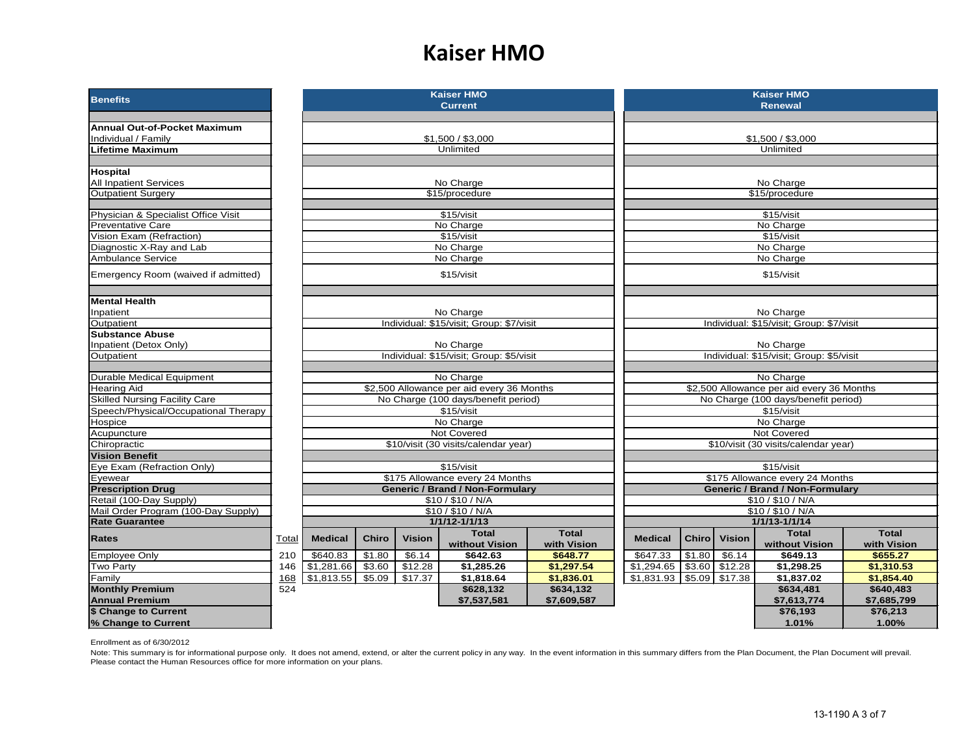#### **Kaiser HMO**

| <b>Benefits</b>                                     |       |                |                                                             |               | <b>Kaiser HMO</b><br><b>Current</b>                     |              | <b>Kaiser HMO</b><br><b>Renewal</b>       |              |                  |                                                         |              |
|-----------------------------------------------------|-------|----------------|-------------------------------------------------------------|---------------|---------------------------------------------------------|--------------|-------------------------------------------|--------------|------------------|---------------------------------------------------------|--------------|
|                                                     |       |                |                                                             |               |                                                         |              |                                           |              |                  |                                                         |              |
| <b>Annual Out-of-Pocket Maximum</b>                 |       |                |                                                             |               |                                                         |              |                                           |              |                  |                                                         |              |
| Individual / Family                                 |       |                |                                                             |               | \$1,500 / \$3,000                                       |              |                                           |              |                  | \$1,500 / \$3,000                                       |              |
| <b>Lifetime Maximum</b>                             |       |                |                                                             |               | Unlimited                                               |              |                                           |              |                  | Unlimited                                               |              |
|                                                     |       |                |                                                             |               |                                                         |              |                                           |              |                  |                                                         |              |
| <b>Hospital</b>                                     |       |                |                                                             |               |                                                         |              |                                           |              |                  |                                                         |              |
| <b>All Inpatient Services</b>                       |       |                |                                                             |               | No Charge                                               |              | No Charge                                 |              |                  |                                                         |              |
| <b>Outpatient Surgery</b>                           |       |                |                                                             |               | \$15/procedure                                          |              | \$15/procedure                            |              |                  |                                                         |              |
| Physician & Specialist Office Visit                 |       |                |                                                             |               | \$15/visit                                              |              |                                           |              |                  | \$15/visit                                              |              |
| <b>Preventative Care</b>                            |       |                |                                                             |               | No Charge                                               |              |                                           |              |                  | No Charge                                               |              |
| Vision Exam (Refraction)                            |       |                |                                                             |               | \$15/visit                                              |              |                                           |              |                  | \$15/visit                                              |              |
| Diagnostic X-Ray and Lab                            |       |                |                                                             |               | No Charge                                               |              |                                           |              |                  | No Charge                                               |              |
| Ambulance Service                                   |       |                |                                                             |               | No Charge                                               |              |                                           |              |                  | No Charge                                               |              |
| Emergency Room (waived if admitted)                 |       |                |                                                             |               | \$15/visit                                              |              |                                           |              |                  | \$15/visit                                              |              |
|                                                     |       |                |                                                             |               |                                                         |              |                                           |              |                  |                                                         |              |
| <b>Mental Health</b>                                |       |                |                                                             |               |                                                         |              |                                           |              |                  |                                                         |              |
| Inpatient                                           |       |                |                                                             |               | No Charge                                               |              | No Charge                                 |              |                  |                                                         |              |
| Outpatient                                          |       |                |                                                             |               | Individual: \$15/visit; Group: \$7/visit                |              | Individual: \$15/visit; Group: \$7/visit  |              |                  |                                                         |              |
| <b>Substance Abuse</b>                              |       |                |                                                             |               |                                                         |              |                                           |              |                  |                                                         |              |
| Inpatient (Detox Only)<br>Outpatient                |       |                |                                                             |               | No Charge<br>Individual: \$15/visit; Group: \$5/visit   |              |                                           |              |                  | No Charge<br>Individual: \$15/visit; Group: \$5/visit   |              |
|                                                     |       |                |                                                             |               |                                                         |              |                                           |              |                  |                                                         |              |
| <b>Durable Medical Equipment</b>                    |       |                |                                                             |               | No Charge                                               |              |                                           |              |                  | No Charge                                               |              |
| <b>Hearing Aid</b>                                  |       |                |                                                             |               | \$2,500 Allowance per aid every 36 Months               |              | \$2,500 Allowance per aid every 36 Months |              |                  |                                                         |              |
| <b>Skilled Nursing Facility Care</b>                |       |                |                                                             |               | No Charge (100 days/benefit period)                     |              | No Charge (100 days/benefit period)       |              |                  |                                                         |              |
| Speech/Physical/Occupational Therapy                |       |                |                                                             |               | \$15/visit                                              |              | \$15/visit                                |              |                  |                                                         |              |
| Hospice                                             |       |                |                                                             |               | No Charge                                               |              |                                           |              |                  | No Charge                                               |              |
| Acupuncture                                         |       |                |                                                             |               | Not Covered                                             |              |                                           |              |                  | Not Covered                                             |              |
| Chiropractic                                        |       |                |                                                             |               | \$10/visit (30 visits/calendar year)                    |              |                                           |              |                  | \$10/visit (30 visits/calendar year)                    |              |
| <b>Vision Benefit</b>                               |       |                |                                                             |               |                                                         |              |                                           |              |                  |                                                         |              |
| Eye Exam (Refraction Only)                          |       |                |                                                             |               | \$15/visit                                              |              |                                           |              |                  | \$15/visit                                              |              |
| Evewear                                             |       |                |                                                             |               | \$175 Allowance every 24 Months                         |              |                                           |              |                  | \$175 Allowance every 24 Months                         |              |
| <b>Prescription Drug</b><br>Retail (100-Day Supply) |       |                |                                                             |               | <b>Generic / Brand / Non-Formulary</b><br>\$10/\$10/N/A |              |                                           |              |                  | <b>Generic / Brand / Non-Formulary</b><br>\$10/\$10/N/A |              |
| Mail Order Program (100-Day Supply)                 |       |                |                                                             |               | \$10/\$10/N/A                                           |              |                                           |              |                  | \$10/\$10/N/A                                           |              |
| <b>Rate Guarantee</b>                               |       |                |                                                             |               | 1/1/12-1/1/13                                           |              |                                           |              |                  | 1/1/13-1/1/14                                           |              |
| <b>Rates</b>                                        | Total | <b>Medical</b> | <b>Chiro</b>                                                | <b>Vision</b> | <b>Total</b>                                            | <b>Total</b> | <b>Medical</b>                            | <b>Chiro</b> | <b>Vision</b>    | <b>Total</b>                                            | <b>Total</b> |
|                                                     |       |                |                                                             |               | without Vision                                          | with Vision  |                                           |              |                  | without Vision                                          | with Vision  |
| <b>Employee Only</b>                                | 210   | \$640.83       | \$1.80                                                      | \$6.14        | \$642.63                                                | \$648.77     | \$647.33                                  | \$1.80       | \$6.14           | \$649.13                                                | \$655.27     |
| Two Party                                           | 146   |                | \$1,281.66<br>\$3.60<br>\$1,297.54<br>\$12.28<br>\$1,285.26 |               |                                                         |              |                                           | \$1,294.65   | $$3.60$ $$12.28$ | \$1,298.25                                              | \$1,310.53   |
| Family                                              | 168   | \$1,813.55     | \$5.09                                                      | \$17.37       | \$1,818.64                                              | \$1,836.01   | \$1,831.93                                |              | $$5.09$ \$17.38  | \$1,837.02                                              | \$1,854.40   |
| <b>Monthly Premium</b>                              | 524   |                |                                                             |               | \$628,132                                               | \$634,132    |                                           |              |                  | \$634,481                                               | \$640,483    |
| <b>Annual Premium</b>                               |       |                |                                                             |               | \$7,537,581                                             | \$7,609,587  |                                           |              |                  | \$7,613,774                                             | \$7,685,799  |
| \$ Change to Current                                |       |                |                                                             |               |                                                         |              |                                           |              |                  | \$76,193                                                | \$76,213     |
| % Change to Current                                 |       |                |                                                             |               |                                                         |              |                                           |              |                  | 1.01%                                                   | 1.00%        |

Enrollment as of 6/30/2012

Note: This summary is for informational purpose only. It does not amend, extend, or alter the current policy in any way. In the event information in this summary differs from the Plan Document, the Plan Document will preva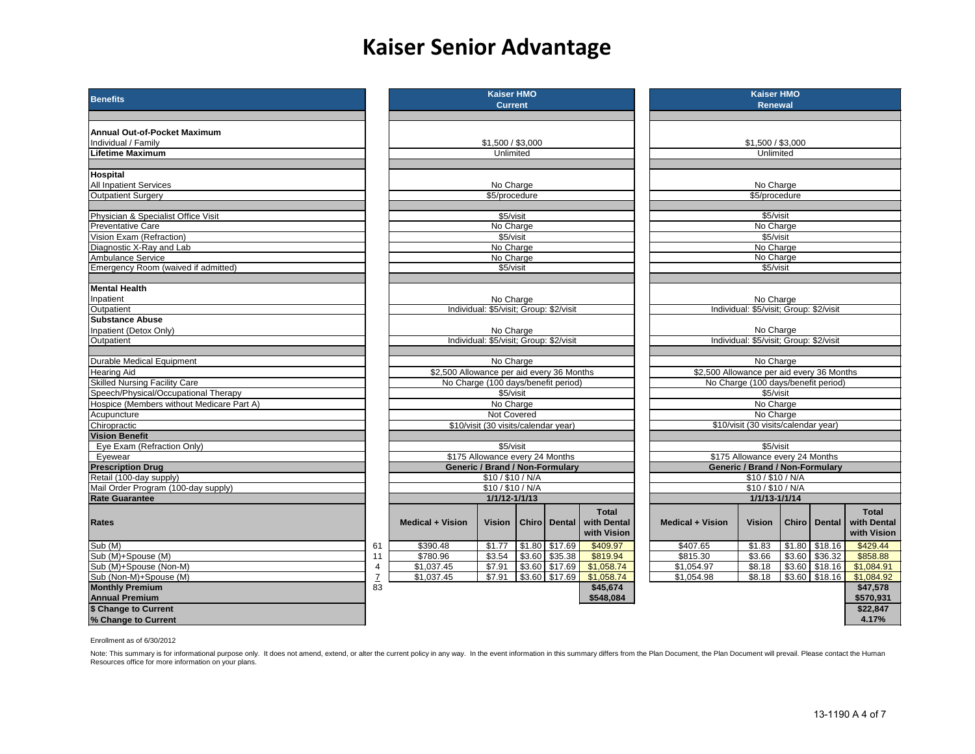## **Kaiser Senior Advantage**

| <b>Benefits</b>                           |                 |                                                      | <b>Kaiser HMO</b><br><b>Current</b>     |  |                     |                                            |                                           | <b>Kaiser HMO</b><br><b>Renewal</b>    |        |                  |                                   |
|-------------------------------------------|-----------------|------------------------------------------------------|-----------------------------------------|--|---------------------|--------------------------------------------|-------------------------------------------|----------------------------------------|--------|------------------|-----------------------------------|
| <b>Annual Out-of-Pocket Maximum</b>       |                 |                                                      |                                         |  |                     |                                            |                                           |                                        |        |                  |                                   |
| Individual / Family                       |                 |                                                      | \$1,500 / \$3,000                       |  |                     |                                            |                                           | \$1,500 / \$3,000                      |        |                  |                                   |
| <b>Lifetime Maximum</b>                   |                 |                                                      | Unlimited                               |  |                     |                                            |                                           | Unlimited                              |        |                  |                                   |
| <b>Hospital</b>                           |                 |                                                      |                                         |  |                     |                                            |                                           |                                        |        |                  |                                   |
| <b>All Inpatient Services</b>             |                 |                                                      | No Charge                               |  |                     |                                            | No Charge                                 |                                        |        |                  |                                   |
| Outpatient Surgery                        |                 |                                                      | \$5/procedure                           |  |                     |                                            |                                           | \$5/procedure                          |        |                  |                                   |
| Physician & Specialist Office Visit       |                 |                                                      | \$5/visit                               |  |                     |                                            |                                           | \$5/visit                              |        |                  |                                   |
| <b>Preventative Care</b>                  |                 |                                                      | No Charge                               |  |                     |                                            |                                           | No Charge                              |        |                  |                                   |
| Vision Exam (Refraction)                  |                 |                                                      | \$5/visit                               |  |                     |                                            |                                           | \$5/visit                              |        |                  |                                   |
| Diagnostic X-Ray and Lab                  |                 |                                                      | No Charge                               |  |                     |                                            |                                           | No Charge                              |        |                  |                                   |
| Ambulance Service                         |                 |                                                      | No Charge                               |  |                     |                                            |                                           | No Charge                              |        |                  |                                   |
| Emergency Room (waived if admitted)       |                 |                                                      | \$5/visit                               |  |                     |                                            |                                           | \$5/visit                              |        |                  |                                   |
| <b>Mental Health</b>                      |                 |                                                      |                                         |  |                     |                                            |                                           |                                        |        |                  |                                   |
| Inpatient                                 |                 |                                                      | No Charge                               |  |                     |                                            |                                           | No Charge                              |        |                  |                                   |
| Outpatient                                |                 |                                                      | Individual: \$5/visit; Group: \$2/visit |  |                     |                                            | Individual: \$5/visit; Group: \$2/visit   |                                        |        |                  |                                   |
| <b>Substance Abuse</b>                    |                 |                                                      |                                         |  |                     |                                            |                                           |                                        |        |                  |                                   |
| Inpatient (Detox Only)                    |                 |                                                      | No Charge                               |  |                     |                                            |                                           | No Charge                              |        |                  |                                   |
| Outpatient                                |                 | Individual: \$5/visit; Group: \$2/visit              |                                         |  |                     |                                            | Individual: \$5/visit; Group: \$2/visit   |                                        |        |                  |                                   |
| <b>Durable Medical Equipment</b>          |                 |                                                      | No Charge                               |  |                     |                                            |                                           | No Charge                              |        |                  |                                   |
| <b>Hearing Aid</b>                        |                 | \$2,500 Allowance per aid every 36 Months            |                                         |  |                     |                                            | \$2,500 Allowance per aid every 36 Months |                                        |        |                  |                                   |
| <b>Skilled Nursing Facility Care</b>      |                 |                                                      | No Charge (100 days/benefit period)     |  |                     |                                            | No Charge (100 days/benefit period)       |                                        |        |                  |                                   |
| Speech/Physical/Occupational Therapy      |                 |                                                      | \$5/visit                               |  |                     |                                            | \$5/visit                                 |                                        |        |                  |                                   |
| Hospice (Members without Medicare Part A) |                 |                                                      | No Charge                               |  |                     |                                            | No Charge                                 |                                        |        |                  |                                   |
| Acupuncture                               |                 |                                                      | Not Covered                             |  |                     |                                            | No Charge                                 |                                        |        |                  |                                   |
| Chiropractic                              |                 |                                                      | \$10/visit (30 visits/calendar year)    |  |                     |                                            |                                           | \$10/visit (30 visits/calendar year)   |        |                  |                                   |
| <b>Vision Benefit</b>                     |                 |                                                      |                                         |  |                     |                                            |                                           |                                        |        |                  |                                   |
| Eye Exam (Refraction Only)                |                 |                                                      | \$5/visit                               |  |                     |                                            |                                           | \$5/visit                              |        |                  |                                   |
| Eyewear                                   |                 |                                                      | \$175 Allowance every 24 Months         |  |                     |                                            |                                           | \$175 Allowance every 24 Months        |        |                  |                                   |
| <b>Prescription Drug</b>                  |                 |                                                      | <b>Generic / Brand / Non-Formulary</b>  |  |                     |                                            |                                           | <b>Generic / Brand / Non-Formulary</b> |        |                  |                                   |
| Retail (100-day supply)                   |                 |                                                      | \$10/\$10/N/A                           |  |                     |                                            |                                           | \$10/\$10/ N/A                         |        |                  |                                   |
| Mail Order Program (100-day supply)       |                 |                                                      | \$10/\$10/N/A                           |  |                     |                                            |                                           | \$10 / \$10 / N/A                      |        |                  |                                   |
| <b>Rate Guarantee</b>                     |                 |                                                      | 1/1/12-1/1/13                           |  |                     |                                            |                                           | 1/1/13-1/1/14                          |        |                  |                                   |
| <b>Rates</b>                              |                 | <b>Medical + Vision</b>                              | <b>Vision</b>                           |  | <b>Chiro Dental</b> | <b>Total</b><br>with Dental<br>with Vision | <b>Medical + Vision</b>                   | Vision                                 | Chiro  | <b>Dental</b>    | Total<br>with Denta<br>with Visio |
| $\overline{\text{Sub}}$ (M)               | 61              | \$390.48                                             | \$1.77                                  |  | $$1.80$ $$17.69$    | \$409.97                                   | \$407.65                                  | \$1.83                                 | \$1.80 | \$18.16          | \$429.44                          |
| Sub (M)+Spouse (M)                        | 11              | \$780.96                                             | \$3.54                                  |  | $$3.60$ $$35.38$    | \$819.94                                   | \$815.30                                  | \$3.66                                 | \$3.60 | \$36.32          | \$858.88                          |
| Sub (M)+Spouse (Non-M)                    | 4               | \$1,037.45<br>\$3.60 \$17.69<br>\$7.91<br>\$1,058.74 |                                         |  |                     |                                            | \$1,054.97                                | \$8.18                                 |        | $$3.60$ $$18.16$ | \$1,084.91                        |
| Sub (Non-M)+Spouse (M)                    | $\underline{7}$ | \$1,037.45                                           | \$7.91                                  |  | $$3.60$ $$17.69$    | \$1,058.74                                 | \$1,054.98                                | \$8.18                                 |        | $$3.60$ $$18.16$ | \$1,084.92                        |
| <b>Monthly Premium</b>                    | $\overline{83}$ |                                                      |                                         |  |                     | \$45,674                                   |                                           |                                        |        |                  | \$47,578                          |
| Annual Premium                            |                 |                                                      |                                         |  |                     | \$548.084                                  |                                           |                                        |        |                  | \$570,931                         |
| \$ Change to Current                      |                 |                                                      |                                         |  |                     |                                            |                                           |                                        |        |                  | \$22,847                          |
| % Change to Current                       |                 |                                                      |                                         |  |                     |                                            |                                           |                                        |        |                  | 4.17%                             |

|                                                      | Kaiser HMO                                   |        |                |              |  |  |  |  |  |
|------------------------------------------------------|----------------------------------------------|--------|----------------|--------------|--|--|--|--|--|
|                                                      | <b>Current</b>                               |        |                |              |  |  |  |  |  |
|                                                      |                                              |        |                |              |  |  |  |  |  |
|                                                      |                                              |        |                |              |  |  |  |  |  |
|                                                      | \$1,500 / \$3,000                            |        |                |              |  |  |  |  |  |
|                                                      | Unlimited                                    |        |                |              |  |  |  |  |  |
|                                                      |                                              |        |                |              |  |  |  |  |  |
|                                                      | No Charge                                    |        |                |              |  |  |  |  |  |
|                                                      | \$5/procedure                                |        |                |              |  |  |  |  |  |
|                                                      |                                              |        |                |              |  |  |  |  |  |
|                                                      | \$5/visit                                    |        |                |              |  |  |  |  |  |
|                                                      | No Charge                                    |        |                |              |  |  |  |  |  |
|                                                      | $$5$ /visit                                  |        |                |              |  |  |  |  |  |
|                                                      | No Charge                                    |        |                |              |  |  |  |  |  |
|                                                      | No Charge<br>\$5/visit                       |        |                |              |  |  |  |  |  |
|                                                      |                                              |        |                |              |  |  |  |  |  |
|                                                      |                                              |        |                |              |  |  |  |  |  |
|                                                      | No Charge                                    |        |                |              |  |  |  |  |  |
|                                                      | Individual: \$5/visit; Group: \$2/visit      |        |                |              |  |  |  |  |  |
|                                                      |                                              |        |                |              |  |  |  |  |  |
| No Charge<br>Individual: \$5/visit; Group: \$2/visit |                                              |        |                |              |  |  |  |  |  |
|                                                      |                                              |        |                |              |  |  |  |  |  |
|                                                      | No Charge                                    |        |                |              |  |  |  |  |  |
| \$2,500 Allowance per aid every 36 Months            |                                              |        |                |              |  |  |  |  |  |
|                                                      | No Charge (100 days/benefit period)          |        |                |              |  |  |  |  |  |
|                                                      | \$5/visit                                    |        |                |              |  |  |  |  |  |
|                                                      | No Charge                                    |        |                |              |  |  |  |  |  |
|                                                      | Not Covered                                  |        |                |              |  |  |  |  |  |
|                                                      | \$10/visit (30 visits/calendar year)         |        |                |              |  |  |  |  |  |
|                                                      |                                              |        |                |              |  |  |  |  |  |
|                                                      | \$5/visit<br>\$175 Allowance every 24 Months |        |                |              |  |  |  |  |  |
|                                                      | Generic / Brand / Non-Formulary              |        |                |              |  |  |  |  |  |
|                                                      | \$10/\$10/N/A                                |        |                |              |  |  |  |  |  |
|                                                      | \$10/\$10/N/A                                |        |                |              |  |  |  |  |  |
|                                                      | 1/1/12-1/1/13                                |        |                |              |  |  |  |  |  |
|                                                      |                                              |        |                | <b>Total</b> |  |  |  |  |  |
| <b>Medical + Vision</b>                              | Vision                                       |        | Chiro   Dental | with Dental  |  |  |  |  |  |
|                                                      |                                              |        |                | with Vision  |  |  |  |  |  |
| \$390.48                                             | \$1.77                                       | \$1.80 | \$17.69        | \$409.97     |  |  |  |  |  |
| \$780.96                                             | \$3.54                                       | \$3.60 | \$35.38        | \$819.94     |  |  |  |  |  |
| \$1,037.45                                           | \$7.91                                       | \$3.60 | \$17.69        | \$1,058.74   |  |  |  |  |  |
| \$1,037.45                                           | \$7.91                                       | \$3.60 | \$17.69        | \$1,058.74   |  |  |  |  |  |
|                                                      |                                              |        |                | \$45,674     |  |  |  |  |  |
|                                                      |                                              |        |                | \$548,084    |  |  |  |  |  |

| <b>Benefits</b>                           |    |                                                                                                                    | <b>Kaiser HMO</b><br><b>Current</b>     |  |                       |                                            | <b>Kaiser HMO</b><br><b>Renewal</b>       |                                         |              |                  |                                            |
|-------------------------------------------|----|--------------------------------------------------------------------------------------------------------------------|-----------------------------------------|--|-----------------------|--------------------------------------------|-------------------------------------------|-----------------------------------------|--------------|------------------|--------------------------------------------|
|                                           |    |                                                                                                                    |                                         |  |                       |                                            |                                           |                                         |              |                  |                                            |
| Annual Out-of-Pocket Maximum              |    |                                                                                                                    |                                         |  |                       |                                            |                                           |                                         |              |                  |                                            |
| Individual / Family                       |    |                                                                                                                    |                                         |  |                       |                                            |                                           | \$1,500 / \$3,000                       |              |                  |                                            |
| Lifetime Maximum                          |    |                                                                                                                    | \$1,500 / \$3,000<br>Unlimited          |  |                       |                                            |                                           | Unlimited                               |              |                  |                                            |
|                                           |    |                                                                                                                    |                                         |  |                       |                                            |                                           |                                         |              |                  |                                            |
| Hospital                                  |    |                                                                                                                    |                                         |  |                       |                                            |                                           |                                         |              |                  |                                            |
| <b>All Inpatient Services</b>             |    |                                                                                                                    | No Charge                               |  |                       |                                            |                                           | No Charge                               |              |                  |                                            |
| <b>Outpatient Surgery</b>                 |    |                                                                                                                    | \$5/procedure                           |  |                       |                                            |                                           | \$5/procedure                           |              |                  |                                            |
|                                           |    |                                                                                                                    |                                         |  |                       |                                            |                                           |                                         |              |                  |                                            |
| Physician & Specialist Office Visit       |    |                                                                                                                    | \$5/visit                               |  |                       |                                            |                                           | \$5/visit                               |              |                  |                                            |
| <b>Preventative Care</b>                  |    |                                                                                                                    | No Charge                               |  |                       |                                            |                                           | No Charge                               |              |                  |                                            |
| Vision Exam (Refraction)                  |    |                                                                                                                    | \$5/visit                               |  |                       |                                            |                                           | \$5/visit                               |              |                  |                                            |
| Diagnostic X-Ray and Lab                  |    |                                                                                                                    | No Charge                               |  |                       |                                            |                                           | No Charge                               |              |                  |                                            |
| Ambulance Service                         |    |                                                                                                                    | No Charge                               |  |                       |                                            |                                           | No Charge                               |              |                  |                                            |
| Emergency Room (waived if admitted)       |    |                                                                                                                    | \$5/visit<br>\$5/visit                  |  |                       |                                            |                                           |                                         |              |                  |                                            |
|                                           |    |                                                                                                                    |                                         |  |                       |                                            |                                           |                                         |              |                  |                                            |
| <b>Mental Health</b>                      |    |                                                                                                                    |                                         |  |                       |                                            |                                           |                                         |              |                  |                                            |
| Inpatient                                 |    |                                                                                                                    | No Charge                               |  |                       |                                            |                                           | No Charge                               |              |                  |                                            |
| Outpatient                                |    |                                                                                                                    | Individual: \$5/visit; Group: \$2/visit |  |                       |                                            |                                           | Individual: \$5/visit; Group: \$2/visit |              |                  |                                            |
| <b>Substance Abuse</b>                    |    |                                                                                                                    |                                         |  |                       |                                            |                                           |                                         |              |                  |                                            |
| Inpatient (Detox Only)                    |    |                                                                                                                    | No Charge                               |  |                       |                                            |                                           | No Charge                               |              |                  |                                            |
| Outpatient                                |    |                                                                                                                    | Individual: \$5/visit; Group: \$2/visit |  |                       |                                            |                                           | Individual: \$5/visit; Group: \$2/visit |              |                  |                                            |
|                                           |    |                                                                                                                    |                                         |  |                       |                                            |                                           |                                         |              |                  |                                            |
| <b>Durable Medical Equipment</b>          |    |                                                                                                                    | No Charge                               |  |                       |                                            | No Charge                                 |                                         |              |                  |                                            |
| Hearing Aid                               |    | \$2,500 Allowance per aid every 36 Months                                                                          |                                         |  |                       |                                            | \$2,500 Allowance per aid every 36 Months |                                         |              |                  |                                            |
| <b>Skilled Nursing Facility Care</b>      |    |                                                                                                                    | No Charge (100 days/benefit period)     |  |                       |                                            | No Charge (100 days/benefit period)       |                                         |              |                  |                                            |
| Speech/Physical/Occupational Therapy      |    |                                                                                                                    | \$5/visit                               |  |                       |                                            |                                           | \$5/visit                               |              |                  |                                            |
| Hospice (Members without Medicare Part A) |    |                                                                                                                    | No Charge                               |  |                       |                                            |                                           | No Charge                               |              |                  |                                            |
| Acupuncture                               |    |                                                                                                                    | Not Covered                             |  |                       |                                            |                                           | No Charge                               |              |                  |                                            |
| Chiropractic                              |    |                                                                                                                    | \$10/visit (30 visits/calendar year)    |  |                       |                                            |                                           | \$10/visit (30 visits/calendar year)    |              |                  |                                            |
| <b>Vision Benefit</b>                     |    |                                                                                                                    |                                         |  |                       |                                            |                                           |                                         |              |                  |                                            |
| Eye Exam (Refraction Only)                |    |                                                                                                                    | \$5/visit                               |  |                       |                                            |                                           | \$5/visit                               |              |                  |                                            |
| Eyewear                                   |    |                                                                                                                    | \$175 Allowance every 24 Months         |  |                       |                                            |                                           | \$175 Allowance every 24 Months         |              |                  |                                            |
| <b>Prescription Drug</b>                  |    |                                                                                                                    | Generic / Brand / Non-Formulary         |  |                       |                                            |                                           | <b>Generic / Brand / Non-Formulary</b>  |              |                  |                                            |
| Retail (100-day supply)                   |    |                                                                                                                    | \$10/\$10/N/A                           |  |                       |                                            |                                           | \$10/\$10/N/A                           |              |                  |                                            |
| Mail Order Program (100-day supply)       |    |                                                                                                                    | \$10/\$10/N/A                           |  |                       |                                            |                                           | \$10/\$10/N/A                           |              |                  |                                            |
| <b>Rate Guarantee</b>                     |    |                                                                                                                    | 1/1/12-1/1/13                           |  |                       |                                            |                                           | 1/1/13-1/1/14                           |              |                  |                                            |
| <b>Rates</b>                              |    | <b>Medical + Vision</b>                                                                                            | Vision                                  |  | <b>Chiro   Dental</b> | <b>Total</b><br>with Dental<br>with Vision | <b>Medical + Vision</b>                   | <b>Vision</b>                           | <b>Chiro</b> | <b>Dental</b>    | <b>Total</b><br>with Dental<br>with Vision |
| Sub (M)                                   | 61 | \$390.48                                                                                                           | \$1.77                                  |  | $$1.80$ $$17.69$      | \$409.97                                   | \$407.65                                  | \$1.83                                  |              | $$1.80$ $$18.16$ | \$429.44                                   |
| Sub (M)+Spouse (M)                        | 11 | \$780.96                                                                                                           | \$3.54                                  |  | $$3.60$ $$35.38$      | \$819.94                                   | \$815.30                                  | \$3.66                                  |              | $$3.60$ $$36.32$ | \$858.88                                   |
| Sub (M)+Spouse (Non-M)                    | 4  | $$3.60$ \$17.69<br>\$1,037.45<br>\$7.91<br>\$1,058.74<br>\$1,054.97<br>\$8.18                                      |                                         |  |                       |                                            | $$3.60$ $$18.16$                          | \$1,084.91                              |              |                  |                                            |
| Sub (Non-M)+Spouse (M)                    |    | $\overline{1}$<br>\$3.60 \$17.69<br>$$3.60$ $$18.16$<br>\$1,037.45<br>\$7.91<br>\$1,058.74<br>\$1,054.98<br>\$8.18 |                                         |  |                       |                                            |                                           |                                         |              | \$1,084.92       |                                            |
| <b>Monthly Premium</b>                    | 83 | \$45,674                                                                                                           |                                         |  |                       |                                            |                                           |                                         |              | \$47,578         |                                            |
| <b>Annual Premium</b>                     |    |                                                                                                                    |                                         |  |                       | \$548,084                                  |                                           |                                         |              |                  | \$570,931                                  |
| \$ Change to Current                      |    |                                                                                                                    |                                         |  |                       |                                            |                                           |                                         |              |                  | \$22,847                                   |
| % Change to Current                       |    |                                                                                                                    |                                         |  |                       |                                            |                                           |                                         |              |                  | 4.17%                                      |

Enrollment as of 6/30/2012

Note: This summary is for informational purpose only. It does not amend, extend, or alter the current policy in any way. In the event information in this summary differs from the Plan Document, the Plan Document will preva Resources office for more information on your plans.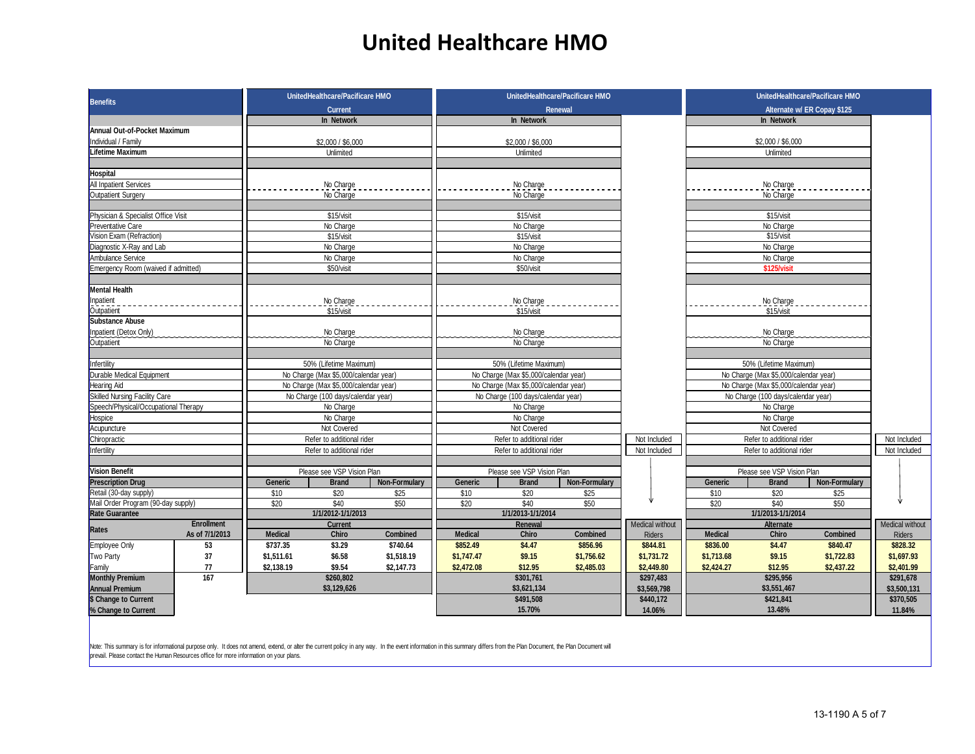#### **United Healthcare HMO**

| <b>Benefits</b>                            |                           | UnitedHealthcare/Pacificare HMO       |               |                |                                                                                | UnitedHealthcare/Pacificare HMO | UnitedHealthcare/Pacificare HMO |                   |                                       |                             |                 |
|--------------------------------------------|---------------------------|---------------------------------------|---------------|----------------|--------------------------------------------------------------------------------|---------------------------------|---------------------------------|-------------------|---------------------------------------|-----------------------------|-----------------|
|                                            |                           | <b>Current</b>                        |               |                |                                                                                | Renewal                         |                                 |                   |                                       | Alternate w/ ER Copay \$125 |                 |
|                                            |                           | In Network                            |               |                | In Network                                                                     |                                 |                                 |                   | In Network                            |                             |                 |
| Annual Out-of-Pocket Maximum               |                           |                                       |               |                |                                                                                |                                 |                                 |                   |                                       |                             |                 |
| Individual / Family                        |                           | \$2,000 / \$6,000                     |               |                | \$2,000 / \$6,000                                                              |                                 |                                 |                   | \$2,000 / \$6,000                     |                             |                 |
| Lifetime Maximum                           |                           | Unlimited                             |               |                | Unlimited                                                                      |                                 |                                 |                   | Unlimited                             |                             |                 |
|                                            |                           |                                       |               |                |                                                                                |                                 |                                 |                   |                                       |                             |                 |
| Hospital                                   |                           |                                       |               |                |                                                                                |                                 |                                 |                   |                                       |                             |                 |
| <b>All Inpatient Services</b>              |                           | No Charge                             |               |                | No Charge                                                                      |                                 |                                 |                   | No Charge                             |                             |                 |
| Outpatient Surgery                         | No Charge                 |                                       |               | No Charge      |                                                                                |                                 |                                 | No Charge         |                                       |                             |                 |
|                                            |                           |                                       |               |                |                                                                                |                                 |                                 |                   |                                       |                             |                 |
| Physician & Specialist Office Visit        |                           | \$15/visit                            |               |                | \$15/visit                                                                     |                                 |                                 |                   | \$15/visit                            |                             |                 |
| <b>Preventative Care</b>                   |                           | No Charge                             |               |                | No Charge                                                                      |                                 |                                 |                   | No Charge                             |                             |                 |
| Vision Exam (Refraction)                   |                           | \$15/visit                            |               |                | \$15/visit                                                                     |                                 |                                 |                   | \$15/visit                            |                             |                 |
| Diagnostic X-Ray and Lab                   |                           | No Charge                             |               |                | No Charge                                                                      |                                 |                                 |                   | No Charge                             |                             |                 |
| Ambulance Service                          |                           | No Charge                             |               |                | No Charge                                                                      |                                 |                                 |                   | No Charge                             |                             |                 |
| Emergency Room (waived if admitted)        |                           | \$50/visit                            |               |                | \$50/visit                                                                     |                                 |                                 |                   | \$125/visit                           |                             |                 |
|                                            |                           |                                       |               |                |                                                                                |                                 |                                 |                   |                                       |                             |                 |
| <b>Mental Health</b>                       |                           |                                       |               |                |                                                                                |                                 |                                 |                   |                                       |                             |                 |
| Inpatient                                  |                           | No Charge                             |               |                | No Charge                                                                      |                                 |                                 |                   | No Charge                             |                             |                 |
| Outpatient                                 |                           | \$15/visit                            |               |                | \$15/visit                                                                     |                                 |                                 |                   | \$15/visit                            |                             |                 |
| <b>Substance Abuse</b>                     |                           |                                       |               |                |                                                                                |                                 |                                 |                   |                                       |                             |                 |
| Inpatient (Detox Only)                     |                           | No Charge                             |               |                | No Charge                                                                      |                                 |                                 | No Charge         |                                       |                             |                 |
| Outpatient                                 |                           | No Charge                             |               |                | No Charge                                                                      |                                 |                                 | No Charge         |                                       |                             |                 |
|                                            |                           |                                       |               |                |                                                                                |                                 |                                 |                   |                                       |                             |                 |
| Infertility                                |                           | 50% (Lifetime Maximum)                |               |                | 50% (Lifetime Maximum)                                                         |                                 |                                 |                   | 50% (Lifetime Maximum)                |                             |                 |
| Durable Medical Equipment                  |                           | No Charge (Max \$5,000/calendar year) |               |                | No Charge (Max \$5,000/calendar year)                                          |                                 |                                 |                   | No Charge (Max \$5,000/calendar year) |                             |                 |
| <b>Hearing Aid</b>                         |                           | No Charge (Max \$5,000/calendar year) |               |                | No Charge (Max \$5,000/calendar year)<br>No Charge (Max \$5,000/calendar year) |                                 |                                 |                   |                                       |                             |                 |
| Skilled Nursing Facility Care              |                           | No Charge (100 days/calendar year)    |               |                | No Charge (100 days/calendar year)                                             |                                 |                                 |                   | No Charge (100 days/calendar year)    |                             |                 |
| Speech/Physical/Occupational Therapy       |                           | No Charge                             |               |                | No Charge<br>No Charge                                                         |                                 |                                 |                   |                                       |                             |                 |
| Hospice                                    | No Charge                 |                                       |               | No Charge      |                                                                                |                                 |                                 | No Charge         |                                       |                             |                 |
| Acupuncture                                |                           | Not Covered                           |               |                | Not Covered                                                                    |                                 |                                 |                   | Not Covered                           |                             |                 |
| Chiropractic                               | Refer to additional rider |                                       |               |                | Refer to additional rider                                                      |                                 | Not Included                    |                   | Refer to additional rider             |                             | Not Included    |
|                                            |                           | Refer to additional rider             |               |                | Refer to additional rider                                                      |                                 | Not Included                    |                   | Refer to additional rider             |                             | Not Included    |
| Infertility                                |                           |                                       |               |                |                                                                                |                                 |                                 |                   |                                       |                             |                 |
| Vision Benefit                             |                           | Please see VSP Vision Plan            |               |                | Please see VSP Vision Plan                                                     |                                 |                                 |                   | Please see VSP Vision Plan            |                             |                 |
| <b>Prescription Drug</b>                   |                           |                                       |               | Generic        |                                                                                |                                 |                                 |                   |                                       |                             |                 |
| Retail (30-day supply)                     | Generic<br>\$10           | <b>Brand</b><br>\$20                  | Non-Formulary | \$10           | <b>Brand</b><br>\$20                                                           | Non-Formulary                   |                                 | Generic           | <b>Brand</b><br>\$20                  | Non-Formulary               |                 |
|                                            |                           | \$40                                  | \$25<br>\$50  | \$20           | \$40                                                                           | \$25<br>\$50                    |                                 | \$10<br>\$20      | \$40                                  | \$25<br>\$50                |                 |
| Mail Order Program (90-day supply)         | \$20                      | 1/1/2012-1/1/2013                     |               |                | 1/1/2013-1/1/2014                                                              |                                 |                                 |                   |                                       |                             |                 |
| <b>Rate Guarantee</b><br><b>Enrollment</b> |                           |                                       |               |                |                                                                                |                                 |                                 | 1/1/2013-1/1/2014 |                                       |                             |                 |
| Rates                                      |                           | Current                               |               | <b>Medical</b> | Renewa<br>Chiro                                                                |                                 | Medical without                 | <b>Medical</b>    | <b>Alternate</b>                      |                             | Medical without |
| As of 7/1/2013                             | <b>Medical</b>            | Chiro                                 | Combined      |                |                                                                                | <b>Combined</b>                 | <b>Riders</b>                   |                   | Chiro                                 | <b>Combined</b>             | <b>Riders</b>   |
| Employee Only<br>53                        | \$737.35                  | \$3.29                                | \$740.64      | \$852.49       | \$4.47                                                                         | \$856.96                        | \$844.81                        | \$836.00          | \$4.47                                | \$840.47                    | \$828.32        |
| 37<br>Two Party                            | \$1,511.61                | \$6.58                                | \$1,518.19    | \$1,747.47     | \$9.15                                                                         | \$1,756.62                      | \$1,731.72                      | \$1,713.68        | \$9.15                                | \$1,722.83                  | \$1,697.93      |
| 77<br>Family                               | \$2,138.19                | \$9.54                                | \$2,147.73    | \$2,472.08     | \$12.95                                                                        | \$2,485.03                      | \$2,449.80                      | \$2,424.27        | \$12.95                               | \$2,437.22                  | \$2,401.99      |
| <b>Monthly Premium</b><br>167              |                           | \$260,802                             |               |                | \$301,761                                                                      |                                 | \$297,483                       |                   | \$295,956                             |                             | \$291,678       |
| <b>Annual Premium</b>                      |                           | \$3,129,626                           |               |                | \$3,621,134                                                                    |                                 | \$3,569,798                     |                   | \$3,551,467                           |                             | \$3,500,131     |
| \$ Change to Current                       |                           |                                       |               |                | \$491,508                                                                      |                                 | \$440,172                       |                   | \$421,841                             |                             | \$370,505       |
| % Change to Current                        |                           |                                       |               |                | 15.70%                                                                         |                                 | 14.06%                          |                   | 13.48%                                |                             | 11.84%          |

Note: This summary is for informational purpose only. It does not amend, extend, or alter the current policy in any way. In the event information in this summary differs from the Plan Document, the Plan Document will prevail. Please contact the Human Resources office for more information on your plans.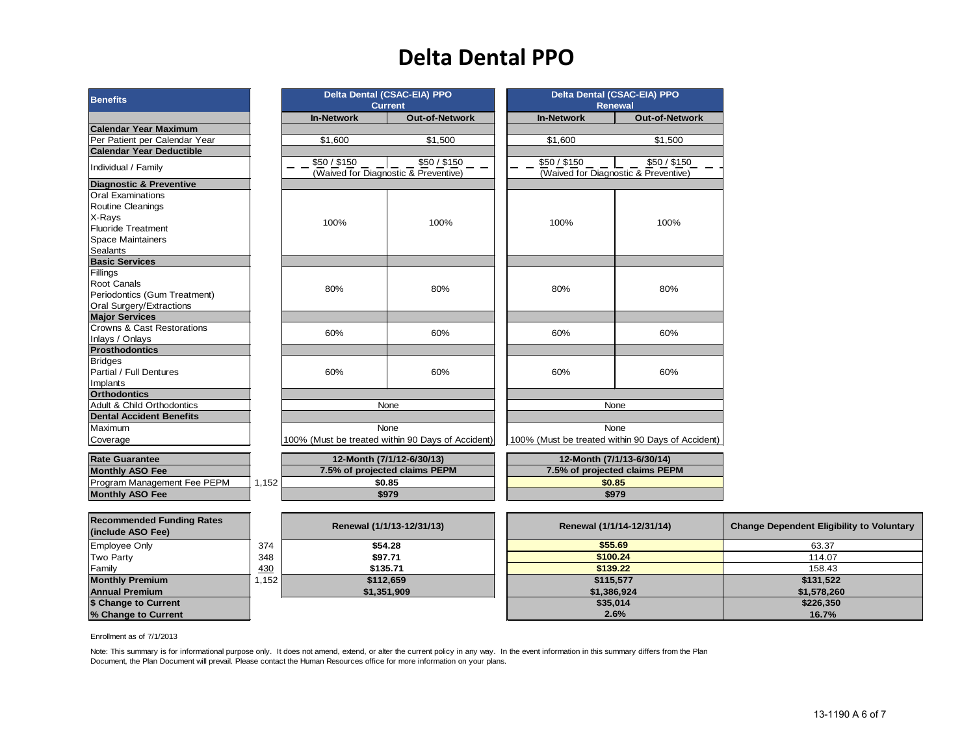## **Delta Dental PPO**

| Benefits                                                |       |                   | Delta Dental (CSAC-EIA) PPO<br><b>Current</b>      |                   | Delta Dental (CSAC-EIA) PPO<br><b>Renewal</b>        |                                                  |
|---------------------------------------------------------|-------|-------------------|----------------------------------------------------|-------------------|------------------------------------------------------|--------------------------------------------------|
|                                                         |       | <b>In-Network</b> | <b>Out-of-Network</b>                              | <b>In-Network</b> | <b>Out-of-Network</b>                                |                                                  |
| <b>Calendar Year Maximum</b>                            |       |                   |                                                    |                   |                                                      |                                                  |
| Per Patient per Calendar Year                           |       | \$1,600           | \$1,500                                            | \$1,600           | \$1,500                                              |                                                  |
| <b>Calendar Year Deductible</b>                         |       |                   |                                                    |                   |                                                      |                                                  |
| Individual / Family                                     |       | \$50 / \$150      | \$50/\$150<br>(Waived for Diagnostic & Preventive) | \$50 / \$150      | \$50 / \$150<br>(Waived for Diagnostic & Preventive) |                                                  |
| <b>Diagnostic &amp; Preventive</b><br>Oral Examinations |       |                   |                                                    |                   |                                                      |                                                  |
|                                                         |       |                   |                                                    |                   |                                                      |                                                  |
| Routine Cleanings                                       |       |                   |                                                    |                   |                                                      |                                                  |
| X-Rays                                                  |       | 100%              | 100%                                               | 100%              | 100%                                                 |                                                  |
| Fluoride Treatment                                      |       |                   |                                                    |                   |                                                      |                                                  |
| Space Maintainers                                       |       |                   |                                                    |                   |                                                      |                                                  |
|                                                         |       |                   |                                                    |                   |                                                      |                                                  |
| Sealants<br>Basic Services<br>Fillings                  |       |                   |                                                    |                   |                                                      |                                                  |
|                                                         |       |                   |                                                    |                   |                                                      |                                                  |
| Root Canals                                             |       | 80%               | 80%                                                | 80%               | 80%                                                  |                                                  |
| Periodontics (Gum Treatment)                            |       |                   |                                                    |                   |                                                      |                                                  |
| Oral Surgery/Extractions<br><b>Major Services</b>       |       |                   |                                                    |                   |                                                      |                                                  |
| Crowns & Cast Restorations                              |       |                   |                                                    |                   |                                                      |                                                  |
| Inlays / Onlays                                         |       | 60%               | 60%                                                | 60%               | 60%                                                  |                                                  |
| <b>Prosthodontics</b>                                   |       |                   |                                                    |                   |                                                      |                                                  |
| Bridges                                                 |       |                   |                                                    |                   |                                                      |                                                  |
| Partial / Full Dentures                                 |       | 60%               | 60%                                                | 60%               | 60%                                                  |                                                  |
| Implants                                                |       |                   |                                                    |                   |                                                      |                                                  |
| <b>Orthodontics<br/>Adult &amp; Child Orthodontics</b>  |       |                   |                                                    |                   |                                                      |                                                  |
|                                                         |       | None              |                                                    |                   | None                                                 |                                                  |
| <b>Dental Accident Benefits</b>                         |       |                   |                                                    |                   |                                                      |                                                  |
| Maximum                                                 |       |                   | None                                               |                   | None                                                 |                                                  |
| Coverage                                                |       |                   | 100% (Must be treated within 90 Days of Accident)  |                   | 100% (Must be treated within 90 Days of Accident)    |                                                  |
|                                                         |       |                   |                                                    |                   |                                                      |                                                  |
| <b>Rate Guarantee</b>                                   |       |                   | 12-Month (7/1/12-6/30/13)                          |                   | 12-Month (7/1/13-6/30/14)                            |                                                  |
| Monthly ASO Fee                                         |       |                   | 7.5% of projected claims PEPM                      |                   | 7.5% of projected claims PEPM                        |                                                  |
| Program Management Fee PEPM                             | 1,152 |                   | \$0.85                                             |                   | \$0.85                                               |                                                  |
| <b>Monthly ASO Fee</b>                                  |       |                   | \$979                                              |                   | \$979                                                |                                                  |
| <b>Recommended Funding Rates</b>                        |       |                   |                                                    |                   |                                                      |                                                  |
| (include ASO Fee)                                       |       |                   | Renewal (1/1/13-12/31/13)                          |                   | Renewal (1/1/14-12/31/14)                            | <b>Change Dependent Eligibility to Voluntary</b> |
| Employee Only                                           | 374   |                   | \$54.28                                            |                   | \$55.69                                              | 63.37                                            |
| Two Party                                               | 348   |                   | \$97.71                                            |                   | \$100.24                                             | 114.07                                           |
| Family                                                  | 430   |                   | \$135.71                                           |                   | \$139.22                                             | 158.43                                           |
| <b>Monthly Premium</b>                                  | 1,152 |                   | \$112,659                                          |                   | \$115,577                                            | \$131,522                                        |
| <b>Annual Premium</b>                                   |       |                   | \$1,351,909                                        |                   | \$1,386,924                                          | \$1,578,260                                      |
| \$ Change to Current                                    |       |                   |                                                    |                   | \$35,014                                             | \$226,350                                        |

Enrollment as of 7/1/2013

Note: This summary is for informational purpose only. It does not amend, extend, or alter the current policy in any way. In the event information in this summary differs from the Plan Document, the Plan Document will prevail. Please contact the Human Resources office for more information on your plans.

**% Change to Current 16.7%**

**2.6%**